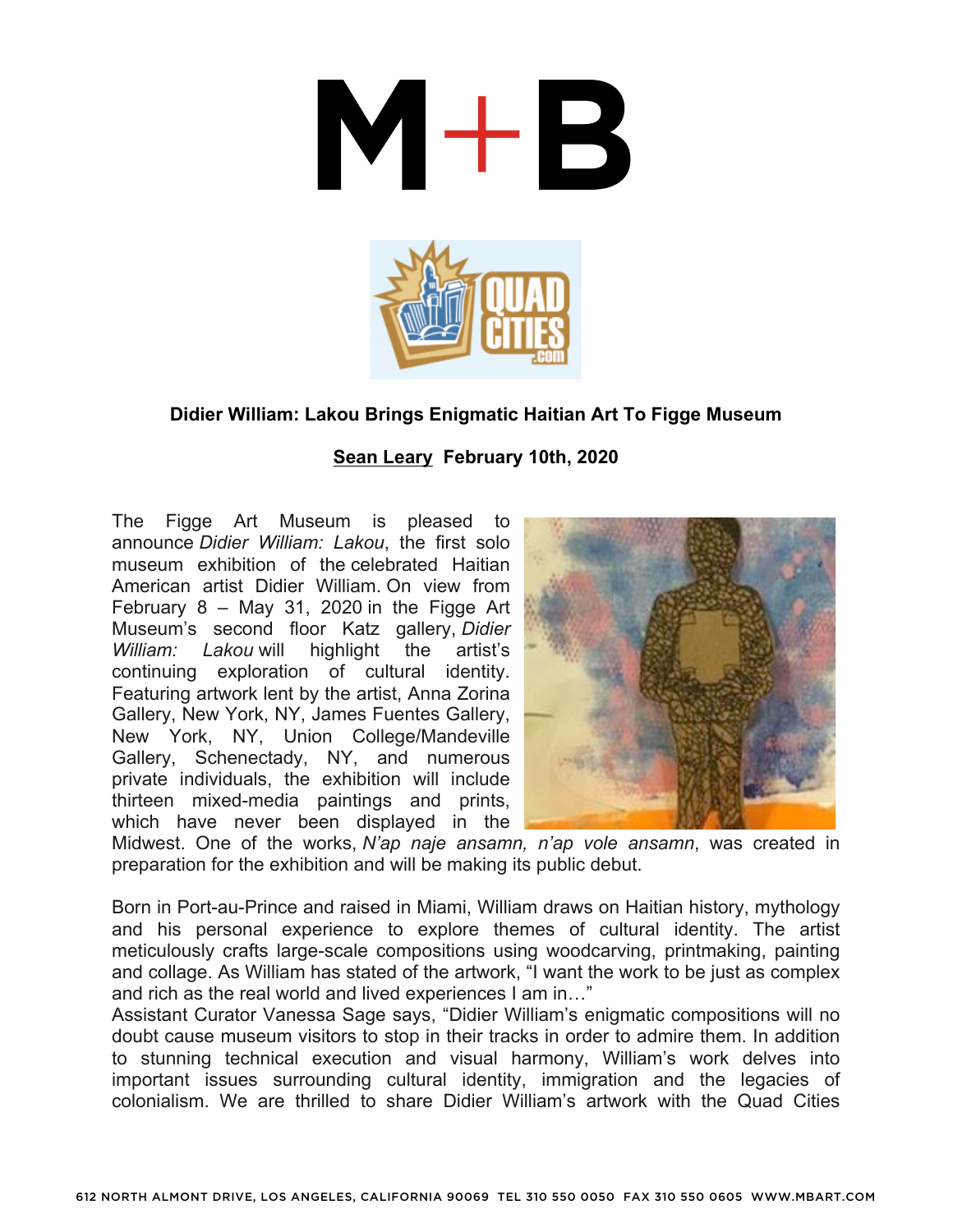

## **Didier William: Lakou Brings Enigmatic Haitian Art To Figge Museum**

## **Sean Leary February 10th, 2020**

The Figge Art Museum is pleased to announce *Didier William: Lakou*, the first solo museum exhibition of the celebrated Haitian American artist Didier William. On view from February 8 – May 31, 2020 in the Figge Art Museum's second floor Katz gallery, *Didier William: Lakou* will highlight the artist's continuing exploration of cultural identity. Featuring artwork lent by the artist, Anna Zorina Gallery, New York, NY, James Fuentes Gallery, New York, NY, Union College/Mandeville Gallery, Schenectady, NY, and numerous private individuals, the exhibition will include thirteen mixed-media paintings and prints, which have never been displayed in the



Midwest. One of the works, *N'ap naje ansamn, n'ap vole ansamn*, was created in preparation for the exhibition and will be making its public debut.

Born in Port-au-Prince and raised in Miami, William draws on Haitian history, mythology and his personal experience to explore themes of cultural identity. The artist meticulously crafts large-scale compositions using woodcarving, printmaking, painting and collage. As William has stated of the artwork, "I want the work to be just as complex and rich as the real world and lived experiences I am in…"

Assistant Curator Vanessa Sage says, "Didier William's enigmatic compositions will no doubt cause museum visitors to stop in their tracks in order to admire them. In addition to stunning technical execution and visual harmony, William's work delves into important issues surrounding cultural identity, immigration and the legacies of colonialism. We are thrilled to share Didier William's artwork with the Quad Cities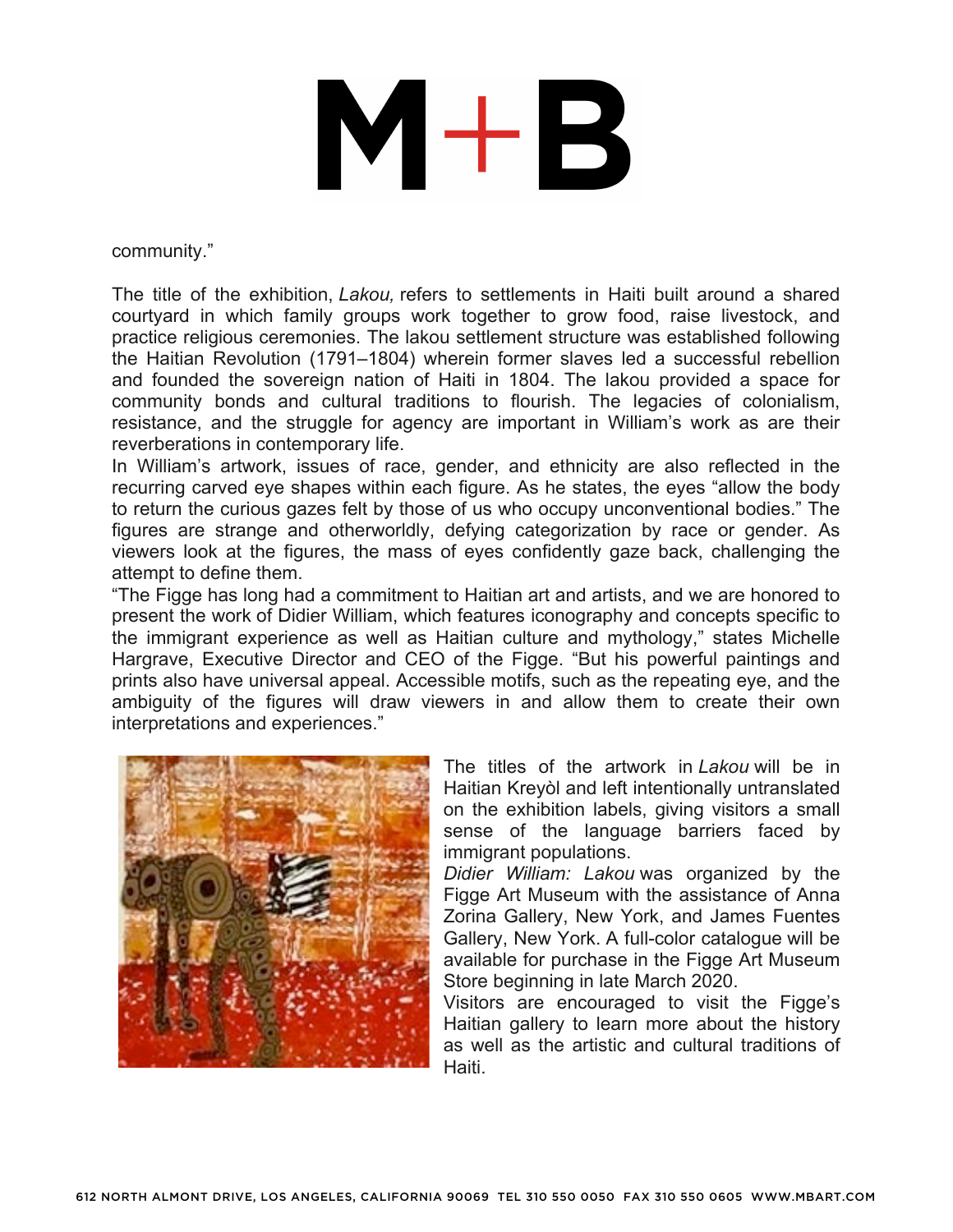## $M+B$

community."

The title of the exhibition, *Lakou,* refers to settlements in Haiti built around a shared courtyard in which family groups work together to grow food, raise livestock, and practice religious ceremonies. The lakou settlement structure was established following the Haitian Revolution (1791–1804) wherein former slaves led a successful rebellion and founded the sovereign nation of Haiti in 1804. The lakou provided a space for community bonds and cultural traditions to flourish. The legacies of colonialism, resistance, and the struggle for agency are important in William's work as are their reverberations in contemporary life.

In William's artwork, issues of race, gender, and ethnicity are also reflected in the recurring carved eye shapes within each figure. As he states, the eyes "allow the body to return the curious gazes felt by those of us who occupy unconventional bodies." The figures are strange and otherworldly, defying categorization by race or gender. As viewers look at the figures, the mass of eyes confidently gaze back, challenging the attempt to define them.

"The Figge has long had a commitment to Haitian art and artists, and we are honored to present the work of Didier William, which features iconography and concepts specific to the immigrant experience as well as Haitian culture and mythology," states Michelle Hargrave, Executive Director and CEO of the Figge. "But his powerful paintings and prints also have universal appeal. Accessible motifs, such as the repeating eye, and the ambiguity of the figures will draw viewers in and allow them to create their own interpretations and experiences."



The titles of the artwork in *Lakou* will be in Haitian Kreyòl and left intentionally untranslated on the exhibition labels, giving visitors a small sense of the language barriers faced by immigrant populations.

*Didier William: Lakou* was organized by the Figge Art Museum with the assistance of Anna Zorina Gallery, New York, and James Fuentes Gallery, New York. A full-color catalogue will be available for purchase in the Figge Art Museum Store beginning in late March 2020.

Visitors are encouraged to visit the Figge's Haitian gallery to learn more about the history as well as the artistic and cultural traditions of Haiti.